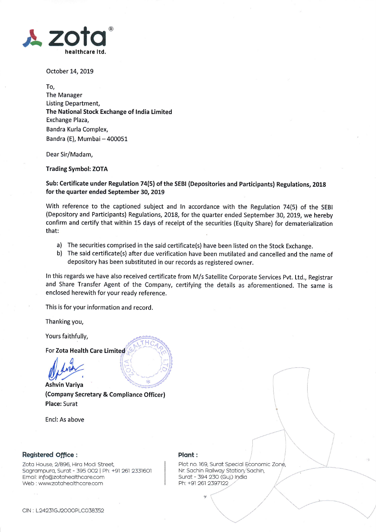

October 14, 2019

To, The Manager Listing Department, The National Stock Exchange of tndia Limited Exchange Plaza, Bandra Kurla Complex, Bandra (E), Mumbai - 400051

Dear Sir/Madam,

Trading Symbol: ZOTA

Sub: Certificate under Regulation 74(5) of the SEBI (Depositories and Participants) Regulations, 2018 for the quarter ended September 30, 2019

With reference to the captioned subject and ln accordance with the Regulation 74(5) of the SEBI (Depository and Participants) Regulations, 2018, for the quarter ended September 30, 2019, we hereby confirm and certify that within 15 days of receipt of the securities (Equity Share) for dematerialization that:

- a) The securities comprised in the said certificate(s) have been listed on the Stock Exchange.
- b) The said certificate(s) after due verification have been mutilated and cancelled and the name of depository has been substituted in our records as registered owner.

ln this regards we have also received certificate from M/s Satellite Corporate Services Pvt. Ltd., Registrar and Share Transfer Agent of the Company, certifying the details as aforementioned. The same is enclosed herewith for your ready reference.

This is for your information and record.

Thanking you,

Yours faithfully,

For Zota Health Care

Ashvin dw Variya

 $\begin{bmatrix} 1 & 1 \\ 1 & 1 \end{bmatrix}$ <br>  $\begin{bmatrix} 2 & 1 \\ 1 & 1 \end{bmatrix}$ <br>  $\begin{bmatrix} 3 & 1 \\ 1 & 1 \end{bmatrix}$ (Company Secretary & Compliance Officer) Place: Surat

Encl: As above

## Registered Office:

Zota House, 2/896, Hira Modi Street, Sagrampura, Surat - 395 002 | Ph: +91 261 2331601 Emoii: info@zotoheclthcore.com Web : www.zotahealthcare.com

## Plant:

Plot no. 169, Surat Special Economic Zone, Nr. Sachin Railway Station, Sachin, Surat - 394 230 (Guj.) India Ph: +91 261 2397122

 $\setminus$ 

 $\,$